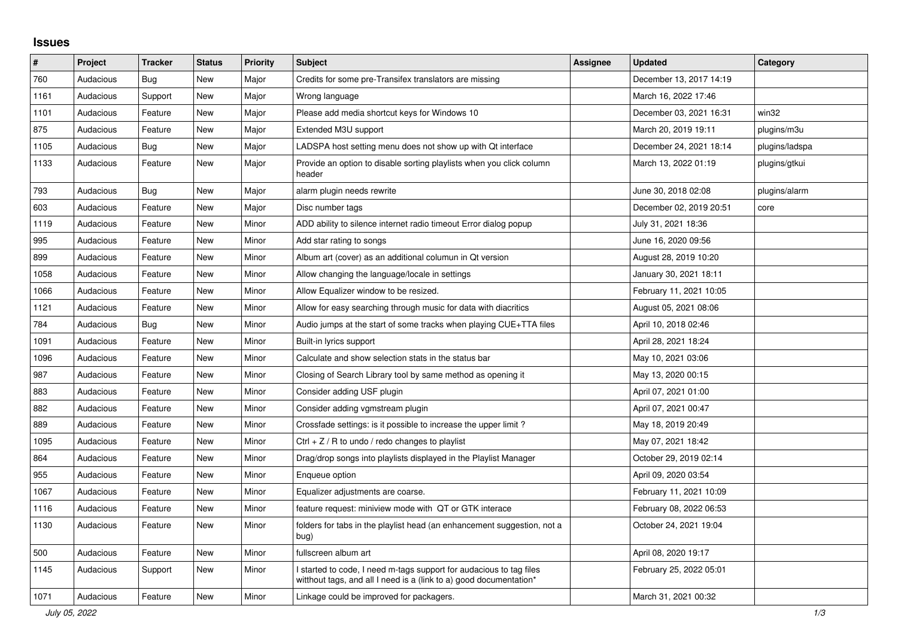## **Issues**

| #    | Project   | <b>Tracker</b> | <b>Status</b> | <b>Priority</b> | <b>Subject</b>                                                                                                                          | <b>Assignee</b> | <b>Updated</b>          | Category       |
|------|-----------|----------------|---------------|-----------------|-----------------------------------------------------------------------------------------------------------------------------------------|-----------------|-------------------------|----------------|
| 760  | Audacious | <b>Bug</b>     | <b>New</b>    | Major           | Credits for some pre-Transifex translators are missing                                                                                  |                 | December 13, 2017 14:19 |                |
| 1161 | Audacious | Support        | New           | Major           | Wrong language                                                                                                                          |                 | March 16, 2022 17:46    |                |
| 1101 | Audacious | Feature        | New           | Major           | Please add media shortcut keys for Windows 10                                                                                           |                 | December 03, 2021 16:31 | win32          |
| 875  | Audacious | Feature        | New           | Major           | Extended M3U support                                                                                                                    |                 | March 20, 2019 19:11    | plugins/m3u    |
| 1105 | Audacious | <b>Bug</b>     | <b>New</b>    | Major           | LADSPA host setting menu does not show up with Qt interface                                                                             |                 | December 24, 2021 18:14 | plugins/ladspa |
| 1133 | Audacious | Feature        | New           | Major           | Provide an option to disable sorting playlists when you click column<br>header                                                          |                 | March 13, 2022 01:19    | plugins/gtkui  |
| 793  | Audacious | <b>Bug</b>     | <b>New</b>    | Major           | alarm plugin needs rewrite                                                                                                              |                 | June 30, 2018 02:08     | plugins/alarm  |
| 603  | Audacious | Feature        | <b>New</b>    | Major           | Disc number tags                                                                                                                        |                 | December 02, 2019 20:51 | core           |
| 1119 | Audacious | Feature        | New           | Minor           | ADD ability to silence internet radio timeout Error dialog popup                                                                        |                 | July 31, 2021 18:36     |                |
| 995  | Audacious | Feature        | <b>New</b>    | Minor           | Add star rating to songs                                                                                                                |                 | June 16, 2020 09:56     |                |
| 899  | Audacious | Feature        | New           | Minor           | Album art (cover) as an additional columun in Qt version                                                                                |                 | August 28, 2019 10:20   |                |
| 1058 | Audacious | Feature        | <b>New</b>    | Minor           | Allow changing the language/locale in settings                                                                                          |                 | January 30, 2021 18:11  |                |
| 1066 | Audacious | Feature        | New           | Minor           | Allow Equalizer window to be resized.                                                                                                   |                 | February 11, 2021 10:05 |                |
| 1121 | Audacious | Feature        | <b>New</b>    | Minor           | Allow for easy searching through music for data with diacritics                                                                         |                 | August 05, 2021 08:06   |                |
| 784  | Audacious | <b>Bug</b>     | <b>New</b>    | Minor           | Audio jumps at the start of some tracks when playing CUE+TTA files                                                                      |                 | April 10, 2018 02:46    |                |
| 1091 | Audacious | Feature        | <b>New</b>    | Minor           | Built-in lyrics support                                                                                                                 |                 | April 28, 2021 18:24    |                |
| 1096 | Audacious | Feature        | New           | Minor           | Calculate and show selection stats in the status bar                                                                                    |                 | May 10, 2021 03:06      |                |
| 987  | Audacious | Feature        | New           | Minor           | Closing of Search Library tool by same method as opening it                                                                             |                 | May 13, 2020 00:15      |                |
| 883  | Audacious | Feature        | <b>New</b>    | Minor           | Consider adding USF plugin                                                                                                              |                 | April 07, 2021 01:00    |                |
| 882  | Audacious | Feature        | New           | Minor           | Consider adding vgmstream plugin                                                                                                        |                 | April 07, 2021 00:47    |                |
| 889  | Audacious | Feature        | <b>New</b>    | Minor           | Crossfade settings: is it possible to increase the upper limit?                                                                         |                 | May 18, 2019 20:49      |                |
| 1095 | Audacious | Feature        | <b>New</b>    | Minor           | Ctrl $+$ Z / R to undo / redo changes to playlist                                                                                       |                 | May 07, 2021 18:42      |                |
| 864  | Audacious | Feature        | <b>New</b>    | Minor           | Drag/drop songs into playlists displayed in the Playlist Manager                                                                        |                 | October 29, 2019 02:14  |                |
| 955  | Audacious | Feature        | <b>New</b>    | Minor           | Enqueue option                                                                                                                          |                 | April 09, 2020 03:54    |                |
| 1067 | Audacious | Feature        | New           | Minor           | Equalizer adjustments are coarse.                                                                                                       |                 | February 11, 2021 10:09 |                |
| 1116 | Audacious | Feature        | New           | Minor           | feature request: miniview mode with QT or GTK interace                                                                                  |                 | February 08, 2022 06:53 |                |
| 1130 | Audacious | Feature        | New           | Minor           | folders for tabs in the playlist head (an enhancement suggestion, not a<br>bug)                                                         |                 | October 24, 2021 19:04  |                |
| 500  | Audacious | Feature        | New           | Minor           | fullscreen album art                                                                                                                    |                 | April 08, 2020 19:17    |                |
| 1145 | Audacious | Support        | New           | Minor           | started to code, I need m-tags support for audacious to tag files<br>witthout tags, and all I need is a (link to a) good documentation* |                 | February 25, 2022 05:01 |                |
| 1071 | Audacious | Feature        | <b>New</b>    | Minor           | Linkage could be improved for packagers.                                                                                                |                 | March 31, 2021 00:32    |                |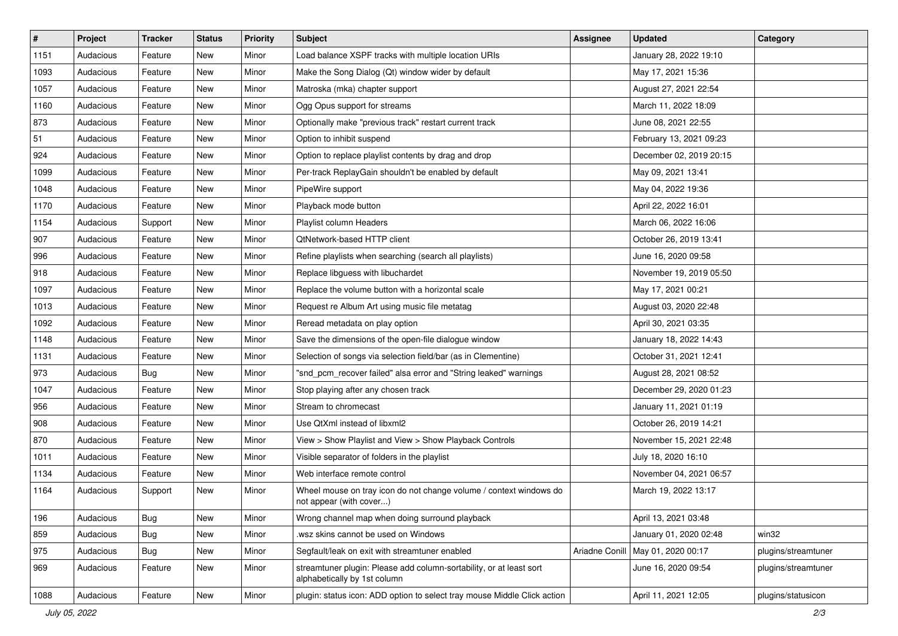| $\vert$ # | Project   | <b>Tracker</b> | <b>Status</b> | <b>Priority</b> | <b>Subject</b>                                                                                      | <b>Assignee</b> | <b>Updated</b>          | Category            |
|-----------|-----------|----------------|---------------|-----------------|-----------------------------------------------------------------------------------------------------|-----------------|-------------------------|---------------------|
| 1151      | Audacious | Feature        | New           | Minor           | Load balance XSPF tracks with multiple location URIs                                                |                 | January 28, 2022 19:10  |                     |
| 1093      | Audacious | Feature        | <b>New</b>    | Minor           | Make the Song Dialog (Qt) window wider by default                                                   |                 | May 17, 2021 15:36      |                     |
| 1057      | Audacious | Feature        | New           | Minor           | Matroska (mka) chapter support                                                                      |                 | August 27, 2021 22:54   |                     |
| 1160      | Audacious | Feature        | New           | Minor           | Ogg Opus support for streams                                                                        |                 | March 11, 2022 18:09    |                     |
| 873       | Audacious | Feature        | New           | Minor           | Optionally make "previous track" restart current track                                              |                 | June 08, 2021 22:55     |                     |
| 51        | Audacious | Feature        | New           | Minor           | Option to inhibit suspend                                                                           |                 | February 13, 2021 09:23 |                     |
| 924       | Audacious | Feature        | New           | Minor           | Option to replace playlist contents by drag and drop                                                |                 | December 02, 2019 20:15 |                     |
| 1099      | Audacious | Feature        | New           | Minor           | Per-track ReplayGain shouldn't be enabled by default                                                |                 | May 09, 2021 13:41      |                     |
| 1048      | Audacious | Feature        | New           | Minor           | PipeWire support                                                                                    |                 | May 04, 2022 19:36      |                     |
| 1170      | Audacious | Feature        | New           | Minor           | Playback mode button                                                                                |                 | April 22, 2022 16:01    |                     |
| 1154      | Audacious | Support        | New           | Minor           | Playlist column Headers                                                                             |                 | March 06, 2022 16:06    |                     |
| 907       | Audacious | Feature        | New           | Minor           | QtNetwork-based HTTP client                                                                         |                 | October 26, 2019 13:41  |                     |
| 996       | Audacious | Feature        | New           | Minor           | Refine playlists when searching (search all playlists)                                              |                 | June 16, 2020 09:58     |                     |
| 918       | Audacious | Feature        | New           | Minor           | Replace libguess with libuchardet                                                                   |                 | November 19, 2019 05:50 |                     |
| 1097      | Audacious | Feature        | <b>New</b>    | Minor           | Replace the volume button with a horizontal scale                                                   |                 | May 17, 2021 00:21      |                     |
| 1013      | Audacious | Feature        | New           | Minor           | Request re Album Art using music file metatag                                                       |                 | August 03, 2020 22:48   |                     |
| 1092      | Audacious | Feature        | New           | Minor           | Reread metadata on play option                                                                      |                 | April 30, 2021 03:35    |                     |
| 1148      | Audacious | Feature        | New           | Minor           | Save the dimensions of the open-file dialogue window                                                |                 | January 18, 2022 14:43  |                     |
| 1131      | Audacious | Feature        | New           | Minor           | Selection of songs via selection field/bar (as in Clementine)                                       |                 | October 31, 2021 12:41  |                     |
| 973       | Audacious | <b>Bug</b>     | New           | Minor           | "snd_pcm_recover failed" alsa error and "String leaked" warnings                                    |                 | August 28, 2021 08:52   |                     |
| 1047      | Audacious | Feature        | New           | Minor           | Stop playing after any chosen track                                                                 |                 | December 29, 2020 01:23 |                     |
| 956       | Audacious | Feature        | New           | Minor           | Stream to chromecast                                                                                |                 | January 11, 2021 01:19  |                     |
| 908       | Audacious | Feature        | New           | Minor           | Use QtXml instead of libxml2                                                                        |                 | October 26, 2019 14:21  |                     |
| 870       | Audacious | Feature        | New           | Minor           | View > Show Playlist and View > Show Playback Controls                                              |                 | November 15, 2021 22:48 |                     |
| 1011      | Audacious | Feature        | New           | Minor           | Visible separator of folders in the playlist                                                        |                 | July 18, 2020 16:10     |                     |
| 1134      | Audacious | Feature        | New           | Minor           | Web interface remote control                                                                        |                 | November 04, 2021 06:57 |                     |
| 1164      | Audacious | Support        | New           | Minor           | Wheel mouse on tray icon do not change volume / context windows do<br>not appear (with cover)       |                 | March 19, 2022 13:17    |                     |
| 196       | Audacious | <b>Bug</b>     | New           | Minor           | Wrong channel map when doing surround playback                                                      |                 | April 13, 2021 03:48    |                     |
| 859       | Audacious | <b>Bug</b>     | New           | Minor           | wsz skins cannot be used on Windows                                                                 |                 | January 01, 2020 02:48  | win32               |
| 975       | Audacious | <b>Bug</b>     | New           | Minor           | Segfault/leak on exit with streamtuner enabled                                                      | Ariadne Conill  | May 01, 2020 00:17      | plugins/streamtuner |
| 969       | Audacious | Feature        | New           | Minor           | streamtuner plugin: Please add column-sortability, or at least sort<br>alphabetically by 1st column |                 | June 16, 2020 09:54     | plugins/streamtuner |
| 1088      | Audacious | Feature        | New           | Minor           | plugin: status icon: ADD option to select tray mouse Middle Click action                            |                 | April 11, 2021 12:05    | plugins/statusicon  |